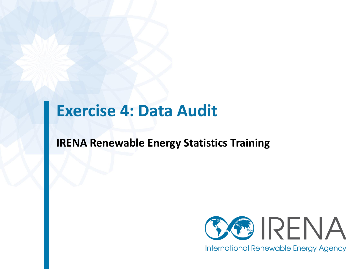#### **Exercise 4: Data Audit**

#### **IRENA Renewable Energy Statistics Training**

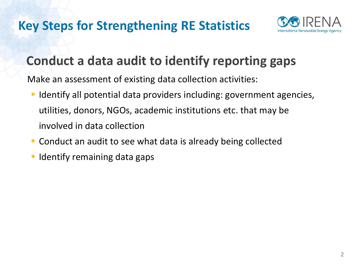

#### **Conduct a data audit to identify reporting gaps**

Make an assessment of existing data collection activities:

- **If Identify all potential data providers including: government agencies,** utilities, donors, NGOs, academic institutions etc. that may be involved in data collection
- **Conduct an audit to see what data is already being collected**
- Identify remaining data gaps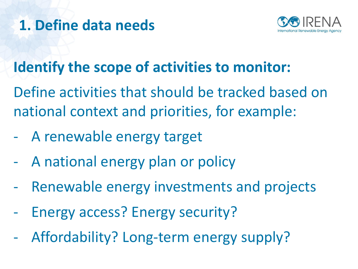## **1. Define data needs**



## **Identify the scope of activities to monitor:**

Define activities that should be tracked based on national context and priorities, for example:

- A renewable energy target
- A national energy plan or policy
- Renewable energy investments and projects
- Energy access? Energy security?
- Affordability? Long-term energy supply?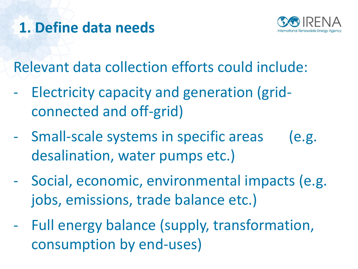## **1. Define data needs**



Relevant data collection efforts could include:

- Electricity capacity and generation (gridconnected and off-grid)
- Small-scale systems in specific areas (e.g. desalination, water pumps etc.)
- Social, economic, environmental impacts (e.g. jobs, emissions, trade balance etc.)
- Full energy balance (supply, transformation, consumption by end-uses)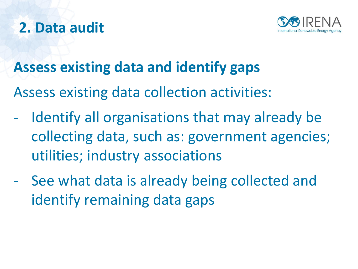

## **2. Data audit**

## **Assess existing data and identify gaps**

Assess existing data collection activities:

- Identify all organisations that may already be collecting data, such as: government agencies; utilities; industry associations
- See what data is already being collected and identify remaining data gaps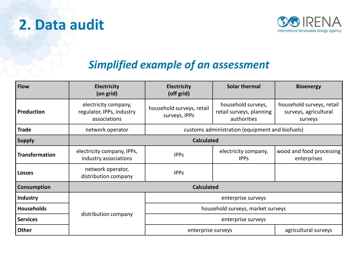



#### *Simplified example of an assessment*

| <b>Flow</b>           | <b>Electricity</b><br>(on grid)                                   | Solar thermal<br><b>Electricity</b><br>(off grid)                                                           |                                     | <b>Bioenergy</b>                                              |  |  |
|-----------------------|-------------------------------------------------------------------|-------------------------------------------------------------------------------------------------------------|-------------------------------------|---------------------------------------------------------------|--|--|
| Production            | electricity company,<br>regulator, IPPs, industry<br>associations | household surveys,<br>household surveys, retail<br>retail surveys, planning<br>surveys, IPPs<br>authorities |                                     | household surveys, retail<br>surveys, agricultural<br>surveys |  |  |
| <b>Trade</b>          | network operator                                                  | customs administration (equipment and biofuels)                                                             |                                     |                                                               |  |  |
| <b>Supply</b>         | <b>Calculated</b>                                                 |                                                                                                             |                                     |                                                               |  |  |
| <b>Transformation</b> | electricity company, IPPs,<br>industry associations               | <b>IPPs</b>                                                                                                 | electricity company,<br><b>IPPS</b> | wood and food processing<br>enterprises                       |  |  |
| <b>Losses</b>         | network operator,<br>distribution company                         | <b>IPPS</b>                                                                                                 |                                     |                                                               |  |  |
| <b>Consumption</b>    | <b>Calculated</b>                                                 |                                                                                                             |                                     |                                                               |  |  |
| <b>Industry</b>       |                                                                   | enterprise surveys                                                                                          |                                     |                                                               |  |  |
| <b>Households</b>     |                                                                   | household surveys, market surveys                                                                           |                                     |                                                               |  |  |
| <b>Services</b>       | distribution company                                              | enterprise surveys                                                                                          |                                     |                                                               |  |  |
| <b>Other</b>          |                                                                   | enterprise surveys                                                                                          | agricultural surveys                |                                                               |  |  |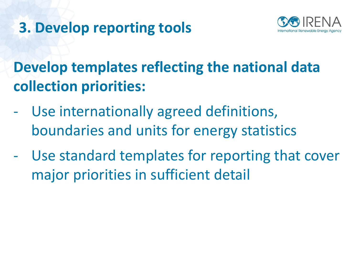

**Develop templates reflecting the national data collection priorities:** 

- Use internationally agreed definitions, boundaries and units for energy statistics
- Use standard templates for reporting that cover major priorities in sufficient detail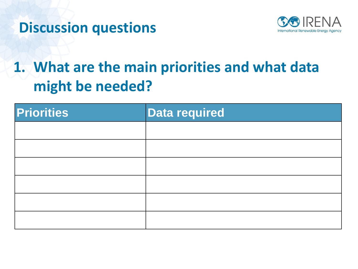



# **1. What are the main priorities and what data might be needed?**

| <b>Priorities</b> | <b>Data required</b> |
|-------------------|----------------------|
|                   |                      |
|                   |                      |
|                   |                      |
|                   |                      |
|                   |                      |
|                   |                      |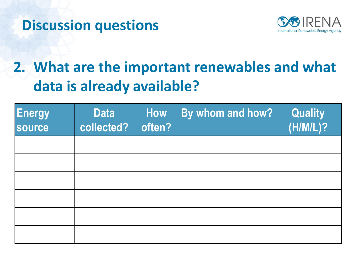



# **2. What are the important renewables and what data is already available?**

| <b>Energy</b><br>source | <b>Data</b><br>collected? | How<br>often? | By whom and how? | <b>Quality</b><br>(H/M/L)? |
|-------------------------|---------------------------|---------------|------------------|----------------------------|
|                         |                           |               |                  |                            |
|                         |                           |               |                  |                            |
|                         |                           |               |                  |                            |
|                         |                           |               |                  |                            |
|                         |                           |               |                  |                            |
|                         |                           |               |                  |                            |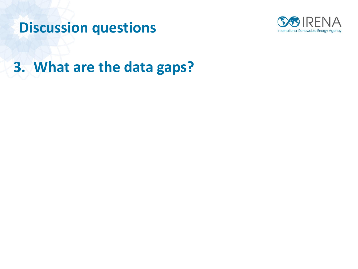



**3. What are the data gaps?**